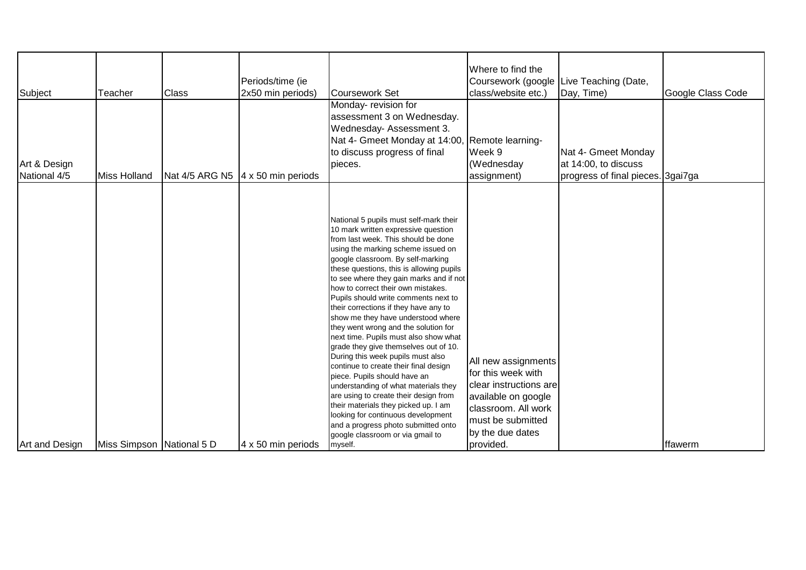| Subject<br>Art & Design        | Teacher                                   | <b>Class</b> | Periods/time (ie<br>2x50 min periods)                   | Coursework Set<br>Monday- revision for<br>assessment 3 on Wednesday.<br>Wednesday- Assessment 3.<br>Nat 4- Gmeet Monday at 14:00, Remote learning-<br>to discuss progress of final<br>bieces.                                                                                                                                                                                                                                                                                                                                                                                                                                                                                                                                                                                                                                                                                                                                                    | Where to find the<br>class/website etc.)<br>Week 9<br>(Wednesday                                                                                                                       | Coursework (google Live Teaching (Date,<br>Day, Time)<br>Nat 4- Gmeet Monday<br>at 14:00, to discuss | Google Class Code |
|--------------------------------|-------------------------------------------|--------------|---------------------------------------------------------|--------------------------------------------------------------------------------------------------------------------------------------------------------------------------------------------------------------------------------------------------------------------------------------------------------------------------------------------------------------------------------------------------------------------------------------------------------------------------------------------------------------------------------------------------------------------------------------------------------------------------------------------------------------------------------------------------------------------------------------------------------------------------------------------------------------------------------------------------------------------------------------------------------------------------------------------------|----------------------------------------------------------------------------------------------------------------------------------------------------------------------------------------|------------------------------------------------------------------------------------------------------|-------------------|
| National 4/5<br>Art and Design | Miss Holland<br>Miss Simpson National 5 D |              | Nat 4/5 ARG N5 4 x 50 min periods<br>4 x 50 min periods | National 5 pupils must self-mark their<br>10 mark written expressive question<br>from last week. This should be done<br>using the marking scheme issued on<br>google classroom. By self-marking<br>these questions, this is allowing pupils<br>to see where they gain marks and if not<br>how to correct their own mistakes.<br>Pupils should write comments next to<br>their corrections if they have any to<br>show me they have understood where<br>they went wrong and the solution for<br>next time. Pupils must also show what<br>grade they give themselves out of 10.<br>During this week pupils must also<br>continue to create their final design<br>piece. Pupils should have an<br>understanding of what materials they<br>are using to create their design from<br>their materials they picked up. I am<br>looking for continuous development<br>and a progress photo submitted onto<br>google classroom or via gmail to<br>myself. | assignment)<br>All new assignments<br>for this week with<br>clear instructions are<br>available on google<br>classroom. All work<br>must be submitted<br>by the due dates<br>provided. | progress of final pieces. 3gai7ga                                                                    | ffawerm           |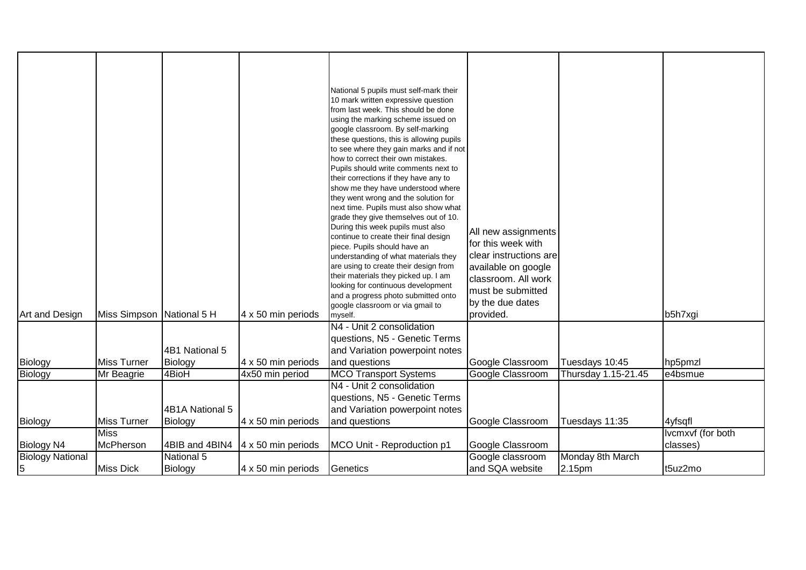|                         |                                   |                 |                    | National 5 pupils must self-mark their<br>10 mark written expressive question<br>from last week. This should be done<br>using the marking scheme issued on<br>google classroom. By self-marking<br>these questions, this is allowing pupils<br>to see where they gain marks and if not<br>how to correct their own mistakes.<br>Pupils should write comments next to<br>their corrections if they have any to<br>show me they have understood where<br>they went wrong and the solution for<br>next time. Pupils must also show what<br>grade they give themselves out of 10.<br>During this week pupils must also<br>continue to create their final design<br>piece. Pupils should have an | All new assignments<br>for this week with                                                                                  |                     |                              |
|-------------------------|-----------------------------------|-----------------|--------------------|---------------------------------------------------------------------------------------------------------------------------------------------------------------------------------------------------------------------------------------------------------------------------------------------------------------------------------------------------------------------------------------------------------------------------------------------------------------------------------------------------------------------------------------------------------------------------------------------------------------------------------------------------------------------------------------------|----------------------------------------------------------------------------------------------------------------------------|---------------------|------------------------------|
| Art and Design          | Miss Simpson National 5 H         |                 | 4 x 50 min periods | understanding of what materials they<br>are using to create their design from<br>their materials they picked up. I am<br>looking for continuous development<br>and a progress photo submitted onto<br>google classroom or via gmail to<br>myself.                                                                                                                                                                                                                                                                                                                                                                                                                                           | clear instructions are<br>available on google<br>classroom. All work<br>must be submitted<br>by the due dates<br>provided. |                     | b5h7xgi                      |
|                         |                                   | 4B1 National 5  |                    | N4 - Unit 2 consolidation<br>questions, N5 - Genetic Terms<br>and Variation powerpoint notes                                                                                                                                                                                                                                                                                                                                                                                                                                                                                                                                                                                                |                                                                                                                            |                     |                              |
| Biology                 | <b>Miss Turner</b>                | Biology         | 4 x 50 min periods | and questions                                                                                                                                                                                                                                                                                                                                                                                                                                                                                                                                                                                                                                                                               | Google Classroom                                                                                                           | Tuesdays 10:45      | hp5pmzl                      |
| Biology                 | Mr Beagrie                        | 4BioH           | 4x50 min period    | <b>MCO Transport Systems</b><br>N4 - Unit 2 consolidation                                                                                                                                                                                                                                                                                                                                                                                                                                                                                                                                                                                                                                   | Google Classroom                                                                                                           | Thursday 1.15-21.45 | e4bsmue                      |
|                         |                                   | 4B1A National 5 |                    | questions, N5 - Genetic Terms<br>and Variation powerpoint notes                                                                                                                                                                                                                                                                                                                                                                                                                                                                                                                                                                                                                             |                                                                                                                            |                     |                              |
| Biology                 | <b>Miss Turner</b><br><b>Miss</b> | Biology         | 4 x 50 min periods | and questions                                                                                                                                                                                                                                                                                                                                                                                                                                                                                                                                                                                                                                                                               | Google Classroom                                                                                                           | Tuesdays 11:35      | 4yfsqfl<br>Ivcmxvf (for both |
| Biology N4              | McPherson                         | 4BIB and 4BIN4  | 4 x 50 min periods | MCO Unit - Reproduction p1                                                                                                                                                                                                                                                                                                                                                                                                                                                                                                                                                                                                                                                                  | Google Classroom                                                                                                           |                     | classes)                     |
| <b>Biology National</b> |                                   | National 5      |                    |                                                                                                                                                                                                                                                                                                                                                                                                                                                                                                                                                                                                                                                                                             | Google classroom                                                                                                           | Monday 8th March    |                              |
| $\overline{5}$          | <b>Miss Dick</b>                  | Biology         | 4 x 50 min periods | Genetics                                                                                                                                                                                                                                                                                                                                                                                                                                                                                                                                                                                                                                                                                    | and SQA website                                                                                                            | 2.15pm              | t5uz2mo                      |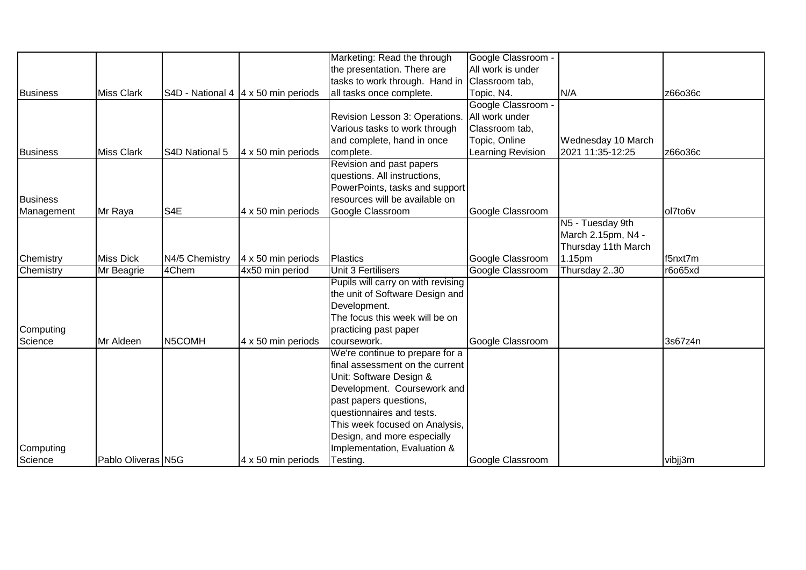|            |                    |                |                                             | Marketing: Read the through        | Google Classroom -       |                     |         |
|------------|--------------------|----------------|---------------------------------------------|------------------------------------|--------------------------|---------------------|---------|
|            |                    |                |                                             | the presentation. There are        | All work is under        |                     |         |
|            |                    |                |                                             | tasks to work through. Hand in     | Classroom tab,           |                     |         |
| Business   | <b>Miss Clark</b>  |                | S4D - National 4 $ 4 \times 50$ min periods | all tasks once complete.           | Topic, N4.               | N/A                 | z66o36c |
|            |                    |                |                                             |                                    | Google Classroom -       |                     |         |
|            |                    |                |                                             | Revision Lesson 3: Operations.     | All work under           |                     |         |
|            |                    |                |                                             | Various tasks to work through      | Classroom tab,           |                     |         |
|            |                    |                |                                             | and complete, hand in once         | Topic, Online            | Wednesday 10 March  |         |
| Business   | <b>Miss Clark</b>  | S4D National 5 | $4 \times 50$ min periods                   | complete.                          | <b>Learning Revision</b> | 2021 11:35-12:25    | z66o36c |
|            |                    |                |                                             | Revision and past papers           |                          |                     |         |
|            |                    |                |                                             | questions. All instructions,       |                          |                     |         |
|            |                    |                |                                             | PowerPoints, tasks and support     |                          |                     |         |
| Business   |                    |                |                                             | resources will be available on     |                          |                     |         |
| Management | Mr Raya            | S4E            | 4 x 50 min periods                          | Google Classroom                   | Google Classroom         |                     | ol7to6v |
|            |                    |                |                                             |                                    |                          | N5 - Tuesday 9th    |         |
|            |                    |                |                                             |                                    |                          | March 2.15pm, N4 -  |         |
|            |                    |                |                                             |                                    |                          | Thursday 11th March |         |
| Chemistry  | <b>Miss Dick</b>   | N4/5 Chemistry | 4 x 50 min periods                          | Plastics                           | Google Classroom         | 1.15pm              | f5nxt7m |
| Chemistry  | Mr Beagrie         | 4Chem          | 4x50 min period                             | Unit 3 Fertilisers                 | Google Classroom         | Thursday 230        | r6o65xd |
|            |                    |                |                                             | Pupils will carry on with revising |                          |                     |         |
|            |                    |                |                                             | the unit of Software Design and    |                          |                     |         |
|            |                    |                |                                             | Development.                       |                          |                     |         |
|            |                    |                |                                             | The focus this week will be on     |                          |                     |         |
| Computing  |                    |                |                                             | practicing past paper              |                          |                     |         |
| Science    | Mr Aldeen          | N5COMH         | 4 x 50 min periods                          | coursework.                        | Google Classroom         |                     | 3s67z4n |
|            |                    |                |                                             | We're continue to prepare for a    |                          |                     |         |
|            |                    |                |                                             | final assessment on the current    |                          |                     |         |
|            |                    |                |                                             | Unit: Software Design &            |                          |                     |         |
|            |                    |                |                                             | Development. Coursework and        |                          |                     |         |
|            |                    |                |                                             | past papers questions,             |                          |                     |         |
|            |                    |                |                                             | questionnaires and tests.          |                          |                     |         |
|            |                    |                |                                             | This week focused on Analysis,     |                          |                     |         |
|            |                    |                |                                             | Design, and more especially        |                          |                     |         |
| Computing  |                    |                |                                             | Implementation, Evaluation &       |                          |                     |         |
| Science    | Pablo Oliveras N5G |                | 4 x 50 min periods                          | Testing.                           | Google Classroom         |                     | vibjj3m |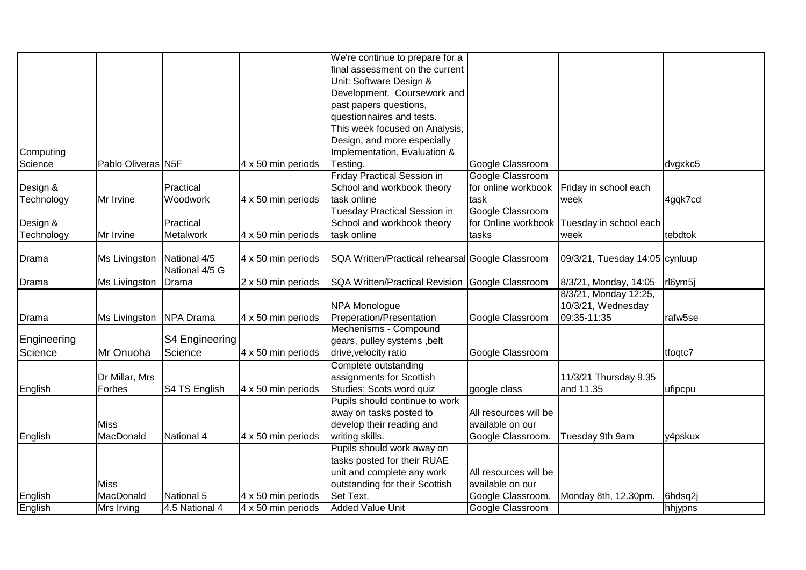|                    |                    |                |                    | We're continue to prepare for a                  |                       |                                |         |
|--------------------|--------------------|----------------|--------------------|--------------------------------------------------|-----------------------|--------------------------------|---------|
|                    |                    |                |                    | final assessment on the current                  |                       |                                |         |
|                    |                    |                |                    | Unit: Software Design &                          |                       |                                |         |
|                    |                    |                |                    | Development. Coursework and                      |                       |                                |         |
|                    |                    |                |                    | past papers questions,                           |                       |                                |         |
|                    |                    |                |                    | questionnaires and tests.                        |                       |                                |         |
|                    |                    |                |                    | This week focused on Analysis,                   |                       |                                |         |
|                    |                    |                |                    | Design, and more especially                      |                       |                                |         |
| Computing          |                    |                |                    | Implementation, Evaluation &                     |                       |                                |         |
| Science            | Pablo Oliveras N5F |                | 4 x 50 min periods | Testing.                                         | Google Classroom      |                                | dvgxkc5 |
|                    |                    |                |                    | <b>Friday Practical Session in</b>               | Google Classroom      |                                |         |
| Design &           |                    | Practical      |                    | School and workbook theory                       | for online workbook   | Friday in school each          |         |
| Technology         | Mr Irvine          | Woodwork       | 4 x 50 min periods | task online                                      | task                  | week                           | 4gqk7cd |
|                    |                    |                |                    | <b>Tuesday Practical Session in</b>              | Google Classroom      |                                |         |
| Design &           |                    | Practical      |                    | School and workbook theory                       | for Online workbook   | Tuesday in school each         |         |
| Technology         | Mr Irvine          | Metalwork      | 4 x 50 min periods | task online                                      | tasks                 | week                           | tebdtok |
|                    |                    |                |                    |                                                  |                       |                                |         |
| Drama              | Ms Livingston      | National 4/5   | 4 x 50 min periods | SQA Written/Practical rehearsal Google Classroom |                       | 09/3/21, Tuesday 14:05 cynluup |         |
|                    |                    | National 4/5 G |                    |                                                  |                       |                                |         |
| Drama              | Ms Livingston      | Drama          | 2 x 50 min periods | SQA Written/Practical Revision Google Classroom  |                       | 8/3/21, Monday, 14:05          | rl6ym5j |
|                    |                    |                |                    |                                                  |                       | 8/3/21, Monday 12:25,          |         |
|                    |                    |                |                    | NPA Monologue                                    |                       | 10/3/21, Wednesday             |         |
| Drama              | Ms Livingston      | NPA Drama      | 4 x 50 min periods | Preperation/Presentation                         | Google Classroom      | 09:35-11:35                    | rafw5se |
|                    |                    |                |                    | Mechenisms - Compound                            |                       |                                |         |
| Engineering        |                    | S4 Engineering |                    | gears, pulley systems, belt                      |                       |                                |         |
| Science            | Mr Onuoha          | Science        | 4 x 50 min periods | drive, velocity ratio                            | Google Classroom      |                                | tfoqtc7 |
|                    |                    |                |                    | Complete outstanding                             |                       |                                |         |
|                    | Dr Millar, Mrs     |                |                    | assignments for Scottish                         |                       | 11/3/21 Thursday 9.35          |         |
| English            | Forbes             | S4 TS English  | 4 x 50 min periods | Studies; Scots word quiz                         | google class          | and 11.35                      | ufipcpu |
|                    |                    |                |                    | Pupils should continue to work                   |                       |                                |         |
|                    |                    |                |                    | away on tasks posted to                          | All resources will be |                                |         |
|                    | <b>Miss</b>        |                |                    | develop their reading and                        | available on our      |                                |         |
| English            | MacDonald          | National 4     | 4 x 50 min periods | writing skills.                                  | Google Classroom.     | Tuesday 9th 9am                | y4pskux |
|                    |                    |                |                    | Pupils should work away on                       |                       |                                |         |
|                    |                    |                |                    | tasks posted for their RUAE                      |                       |                                |         |
|                    |                    |                |                    | unit and complete any work                       | All resources will be |                                |         |
|                    | <b>Miss</b>        |                |                    | outstanding for their Scottish                   | available on our      |                                |         |
| English<br>English | MacDonald          | National 5     | 4 x 50 min periods | Set Text.                                        | Google Classroom.     | Monday 8th, 12.30pm.           | 6hdsq2j |
|                    | Mrs Irving         | 4.5 National 4 | 4 x 50 min periods | <b>Added Value Unit</b>                          | Google Classroom      |                                | hhjypns |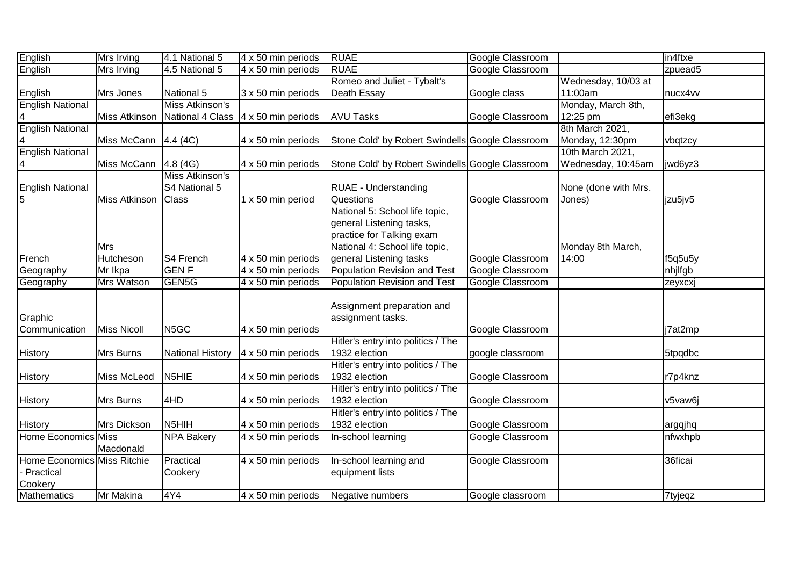| English                     | <b>Mrs Irving</b>    | 4.1 National 5          | 4 x 50 min periods        | <b>RUAE</b>                                      | Google Classroom |                      | in4ftxe |
|-----------------------------|----------------------|-------------------------|---------------------------|--------------------------------------------------|------------------|----------------------|---------|
| English                     | Mrs Irving           | 4.5 National 5          | 4 x 50 min periods        | <b>RUAE</b>                                      | Google Classroom |                      | zpuead5 |
|                             |                      |                         |                           | Romeo and Juliet - Tybalt's                      |                  | Wednesday, 10/03 at  |         |
| English                     | Mrs Jones            | National 5              | 3 x 50 min periods        | Death Essay                                      | Google class     | 11:00am              | nucx4vv |
| <b>English National</b>     |                      | Miss Atkinson's         |                           |                                                  |                  | Monday, March 8th,   |         |
| 4                           | Miss Atkinson        | National 4 Class        | $4 \times 50$ min periods | <b>AVU Tasks</b>                                 | Google Classroom | 12:25 pm             | efi3ekg |
| <b>English National</b>     |                      |                         |                           |                                                  |                  | 8th March 2021,      |         |
| 4                           | Miss McCann          | 4.4(4C)                 | 4 x 50 min periods        | Stone Cold' by Robert Swindells Google Classroom |                  | Monday, 12:30pm      | vbqtzcy |
| <b>English National</b>     |                      |                         |                           |                                                  |                  | 10th March 2021,     |         |
| 4                           | Miss McCann          | 4.8(4G)                 | 4 x 50 min periods        | Stone Cold' by Robert Swindells Google Classroom |                  | Wednesday, 10:45am   | jwd6yz3 |
|                             |                      | Miss Atkinson's         |                           |                                                  |                  |                      |         |
| <b>English National</b>     |                      | S4 National 5           |                           | <b>RUAE - Understanding</b>                      |                  | None (done with Mrs. |         |
| 5                           | <b>Miss Atkinson</b> | <b>Class</b>            | 1 x 50 min period         | <b>Questions</b>                                 | Google Classroom | Jones)               | jzu5jv5 |
|                             |                      |                         |                           | National 5: School life topic,                   |                  |                      |         |
|                             |                      |                         |                           | general Listening tasks,                         |                  |                      |         |
|                             |                      |                         |                           | practice for Talking exam                        |                  |                      |         |
|                             | Mrs                  |                         |                           | National 4: School life topic,                   |                  | Monday 8th March,    |         |
| French                      | Hutcheson            | S4 French               | 4 x 50 min periods        | general Listening tasks                          | Google Classroom | 14:00                | f5q5u5y |
| Geography                   | Mr Ikpa              | <b>GENF</b>             | 4 x 50 min periods        | <b>Population Revision and Test</b>              | Google Classroom |                      | nhjlfgb |
| Geography                   | <b>Mrs Watson</b>    | GEN <sub>5G</sub>       | 4 x 50 min periods        | <b>Population Revision and Test</b>              | Google Classroom |                      | zeyxcxj |
|                             |                      |                         |                           |                                                  |                  |                      |         |
|                             |                      |                         |                           | Assignment preparation and                       |                  |                      |         |
| Graphic                     |                      |                         |                           | assignment tasks.                                |                  |                      |         |
| Communication               | <b>Miss Nicoll</b>   | N <sub>5</sub> GC       | 4 x 50 min periods        |                                                  | Google Classroom |                      | j7at2mp |
|                             |                      |                         |                           | Hitler's entry into politics / The               |                  |                      |         |
| History                     | Mrs Burns            | <b>National History</b> | 4 x 50 min periods        | 1932 election                                    | google classroom |                      | 5tpqdbc |
|                             |                      |                         |                           | Hitler's entry into politics / The               |                  |                      |         |
| History                     | Miss McLeod          | N <sub>5</sub> HIE      | 4 x 50 min periods        | 1932 election                                    | Google Classroom |                      | r7p4knz |
|                             |                      |                         |                           | Hitler's entry into politics / The               |                  |                      |         |
| History                     | Mrs Burns            | 4HD                     | 4 x 50 min periods        | 1932 election                                    | Google Classroom |                      | v5vaw6j |
|                             |                      |                         |                           | Hitler's entry into politics / The               |                  |                      |         |
| History                     | Mrs Dickson          | N <sub>5</sub> HIH      | 4 x 50 min periods        | 1932 election                                    | Google Classroom |                      | argqjhq |
| Home Economics Miss         |                      | <b>NPA Bakery</b>       | 4 x 50 min periods        | In-school learning                               | Google Classroom |                      | nfwxhpb |
|                             | Macdonald            |                         |                           |                                                  |                  |                      |         |
| Home Economics Miss Ritchie |                      | Practical               | 4 x 50 min periods        | In-school learning and                           | Google Classroom |                      | 36ficai |
| - Practical                 |                      | Cookery                 |                           | equipment lists                                  |                  |                      |         |
| Cookery                     |                      |                         |                           |                                                  |                  |                      |         |
| <b>Mathematics</b>          | Mr Makina            | 4Y4                     | 4 x 50 min periods        | Negative numbers                                 | Google classroom |                      | 7tyjeqz |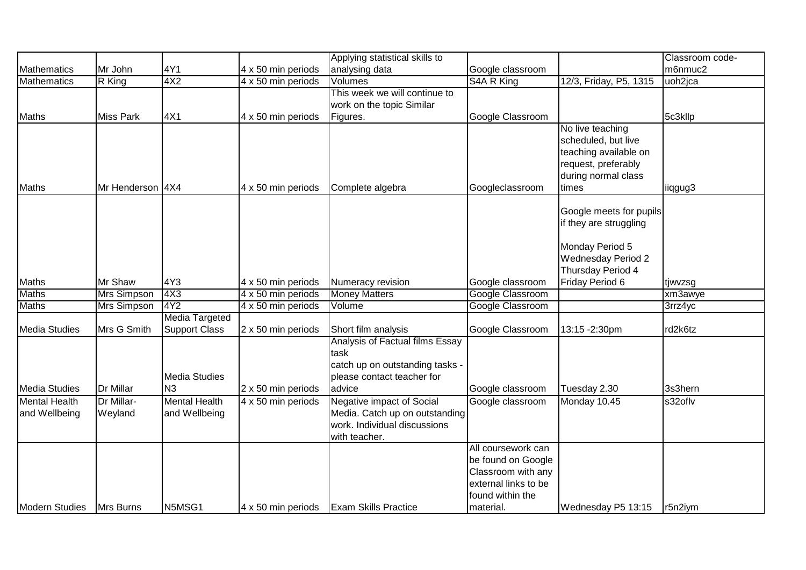|                                |                       |                                               |                    | Applying statistical skills to                                                                                     |                                                                                                                         |                                                                                                                                           | Classroom code- |
|--------------------------------|-----------------------|-----------------------------------------------|--------------------|--------------------------------------------------------------------------------------------------------------------|-------------------------------------------------------------------------------------------------------------------------|-------------------------------------------------------------------------------------------------------------------------------------------|-----------------|
| Mathematics                    | Mr John               | 4Y1                                           | 4 x 50 min periods | analysing data                                                                                                     | Google classroom                                                                                                        |                                                                                                                                           | m6nmuc2         |
| <b>Mathematics</b>             | R King                | 4X2                                           | 4 x 50 min periods | Volumes                                                                                                            | S4A R King                                                                                                              | 12/3, Friday, P5, 1315                                                                                                                    | uoh2jca         |
| Maths                          | <b>Miss Park</b>      | 4X1                                           | 4 x 50 min periods | This week we will continue to<br>work on the topic Similar<br>Figures.                                             | Google Classroom                                                                                                        |                                                                                                                                           | 5c3kllp         |
| Maths                          | Mr Henderson 4X4      |                                               | 4 x 50 min periods | Complete algebra                                                                                                   | Googleclassroom                                                                                                         | No live teaching<br>scheduled, but live<br>teaching available on<br>request, preferably<br>during normal class<br>times                   | iiqgug3         |
| Maths                          | Mr Shaw               | 4Y3                                           | 4 x 50 min periods | Numeracy revision                                                                                                  | Google classroom                                                                                                        | Google meets for pupils<br>if they are struggling<br>Monday Period 5<br><b>Wednesday Period 2</b><br>Thursday Period 4<br>Friday Period 6 | tjwvzsg         |
| <b>Maths</b>                   | <b>Mrs Simpson</b>    | AX3                                           | 4 x 50 min periods | <b>Money Matters</b>                                                                                               | Google Classroom                                                                                                        |                                                                                                                                           | xm3awye         |
| <b>Maths</b>                   | <b>Mrs Simpson</b>    | 4Y <sub>2</sub>                               | 4 x 50 min periods | Volume                                                                                                             | Google Classroom                                                                                                        |                                                                                                                                           | 3rrz4yc         |
| Media Studies                  | Mrs G Smith           | <b>Media Targeted</b><br><b>Support Class</b> | 2 x 50 min periods | Short film analysis                                                                                                | Google Classroom                                                                                                        | 13:15 - 2:30pm                                                                                                                            | rd2k6tz         |
| Media Studies                  | Dr Millar             | Media Studies<br>lN3                          | 2 x 50 min periods | Analysis of Factual films Essay<br>task<br>catch up on outstanding tasks -<br>please contact teacher for<br>advice | Google classroom                                                                                                        | Tuesday 2.30                                                                                                                              | 3s3hern         |
| Mental Health<br>and Wellbeing | Dr Millar-<br>Weyland | <b>Mental Health</b><br>and Wellbeing         | 4 x 50 min periods | Negative impact of Social<br>Media. Catch up on outstanding<br>work. Individual discussions<br>with teacher.       | Google classroom                                                                                                        | Monday 10.45                                                                                                                              | s32oflv         |
| Modern Studies                 | Mrs Burns             | N5MSG1                                        | 4 x 50 min periods | <b>Exam Skills Practice</b>                                                                                        | All coursework can<br>be found on Google<br>Classroom with any<br>external links to be<br>found within the<br>material. | Wednesday P5 13:15                                                                                                                        | r5n2iym         |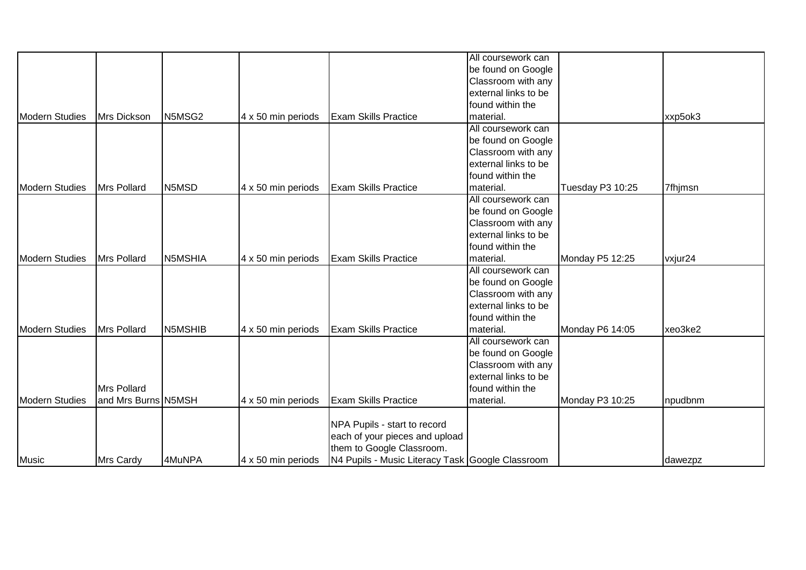|                       |                     |                   |                    |                                                  | All coursework can   |                  |         |
|-----------------------|---------------------|-------------------|--------------------|--------------------------------------------------|----------------------|------------------|---------|
|                       |                     |                   |                    |                                                  | be found on Google   |                  |         |
|                       |                     |                   |                    |                                                  |                      |                  |         |
|                       |                     |                   |                    |                                                  | Classroom with any   |                  |         |
|                       |                     |                   |                    |                                                  | external links to be |                  |         |
|                       |                     |                   |                    |                                                  | found within the     |                  |         |
| <b>Modern Studies</b> | Mrs Dickson         | N5MSG2            | 4 x 50 min periods | <b>Exam Skills Practice</b>                      | material.            |                  | xxp5ok3 |
|                       |                     |                   |                    |                                                  | All coursework can   |                  |         |
|                       |                     |                   |                    |                                                  | be found on Google   |                  |         |
|                       |                     |                   |                    |                                                  | Classroom with any   |                  |         |
|                       |                     |                   |                    |                                                  | external links to be |                  |         |
|                       |                     |                   |                    |                                                  | found within the     |                  |         |
| <b>Modern Studies</b> | Mrs Pollard         | N <sub>5MSD</sub> | 4 x 50 min periods | <b>Exam Skills Practice</b>                      | material.            | Tuesday P3 10:25 | 7fhjmsn |
|                       |                     |                   |                    |                                                  | All coursework can   |                  |         |
|                       |                     |                   |                    |                                                  | be found on Google   |                  |         |
|                       |                     |                   |                    |                                                  | Classroom with any   |                  |         |
|                       |                     |                   |                    |                                                  | external links to be |                  |         |
|                       |                     |                   |                    |                                                  | found within the     |                  |         |
| <b>Modern Studies</b> | Mrs Pollard         | N5MSHIA           | 4 x 50 min periods | <b>Exam Skills Practice</b>                      | material.            | Monday P5 12:25  | vxjur24 |
|                       |                     |                   |                    |                                                  | All coursework can   |                  |         |
|                       |                     |                   |                    |                                                  | be found on Google   |                  |         |
|                       |                     |                   |                    |                                                  | Classroom with any   |                  |         |
|                       |                     |                   |                    |                                                  | external links to be |                  |         |
|                       |                     |                   |                    |                                                  | found within the     |                  |         |
| <b>Modern Studies</b> | Mrs Pollard         | N5MSHIB           | 4 x 50 min periods | <b>Exam Skills Practice</b>                      | material.            | Monday P6 14:05  | xeo3ke2 |
|                       |                     |                   |                    |                                                  | All coursework can   |                  |         |
|                       |                     |                   |                    |                                                  | be found on Google   |                  |         |
|                       |                     |                   |                    |                                                  | Classroom with any   |                  |         |
|                       |                     |                   |                    |                                                  | external links to be |                  |         |
|                       | Mrs Pollard         |                   |                    |                                                  | found within the     |                  |         |
| <b>Modern Studies</b> | and Mrs Burns N5MSH |                   | 4 x 50 min periods | <b>Exam Skills Practice</b>                      | material.            | Monday P3 10:25  | npudbnm |
|                       |                     |                   |                    |                                                  |                      |                  |         |
|                       |                     |                   |                    | NPA Pupils - start to record                     |                      |                  |         |
|                       |                     |                   |                    | each of your pieces and upload                   |                      |                  |         |
|                       |                     |                   |                    | them to Google Classroom.                        |                      |                  |         |
|                       |                     |                   |                    |                                                  |                      |                  |         |
| Music                 | Mrs Cardy           | 4MuNPA            | 4 x 50 min periods | N4 Pupils - Music Literacy Task Google Classroom |                      |                  | dawezpz |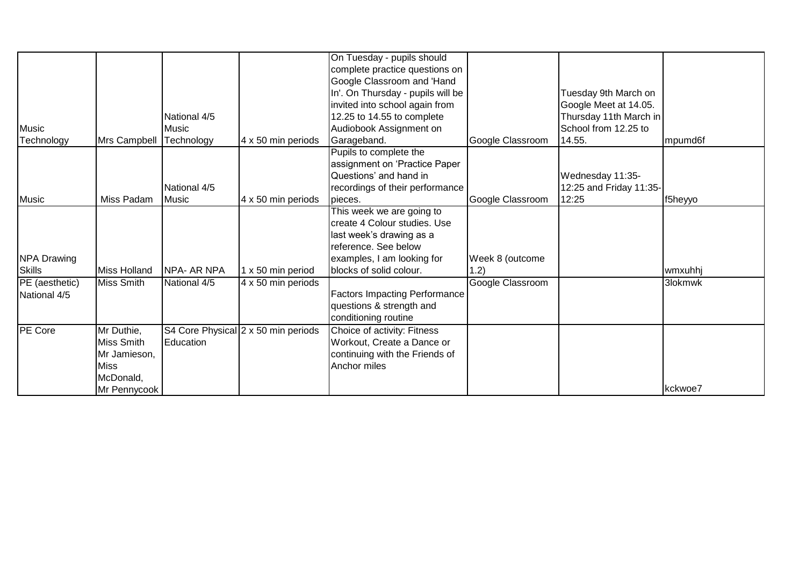|                    |                   |              |                                     | On Tuesday - pupils should           |                  |                         |         |
|--------------------|-------------------|--------------|-------------------------------------|--------------------------------------|------------------|-------------------------|---------|
|                    |                   |              |                                     | complete practice questions on       |                  |                         |         |
|                    |                   |              |                                     | Google Classroom and 'Hand           |                  |                         |         |
|                    |                   |              |                                     | In'. On Thursday - pupils will be    |                  | Tuesday 9th March on    |         |
|                    |                   |              |                                     | invited into school again from       |                  | Google Meet at 14.05.   |         |
|                    |                   | National 4/5 |                                     | 12.25 to 14.55 to complete           |                  | Thursday 11th March in  |         |
| Music              |                   | <b>Music</b> |                                     | Audiobook Assignment on              |                  | School from 12.25 to    |         |
| Technology         | Mrs Campbell      | Technology   | 4 x 50 min periods                  | Garageband.                          | Google Classroom | 14.55.                  | mpumd6f |
|                    |                   |              |                                     | Pupils to complete the               |                  |                         |         |
|                    |                   |              |                                     | assignment on 'Practice Paper        |                  |                         |         |
|                    |                   |              |                                     | Questions' and hand in               |                  | Wednesday 11:35-        |         |
|                    |                   | National 4/5 |                                     | recordings of their performance      |                  | 12:25 and Friday 11:35- |         |
| Music              | Miss Padam        | <b>Music</b> | 4 x 50 min periods                  | pieces.                              | Google Classroom | 12:25                   | f5heyyo |
|                    |                   |              |                                     | This week we are going to            |                  |                         |         |
|                    |                   |              |                                     | create 4 Colour studies. Use         |                  |                         |         |
|                    |                   |              |                                     | last week's drawing as a             |                  |                         |         |
|                    |                   |              |                                     | reference. See below                 |                  |                         |         |
| <b>NPA Drawing</b> |                   |              |                                     | examples, I am looking for           | Week 8 (outcome  |                         |         |
| <b>Skills</b>      | Miss Holland      | NPA- AR NPA  | 1 x 50 min period                   | blocks of solid colour.              | (1.2)            |                         | wmxuhhi |
| PE (aesthetic)     | <b>Miss Smith</b> | National 4/5 | 4 x 50 min periods                  |                                      | Google Classroom |                         | 3lokmwk |
| National 4/5       |                   |              |                                     | <b>Factors Impacting Performance</b> |                  |                         |         |
|                    |                   |              |                                     | questions & strength and             |                  |                         |         |
|                    |                   |              |                                     | conditioning routine                 |                  |                         |         |
| <b>PE</b> Core     | Mr Duthie,        |              | S4 Core Physical 2 x 50 min periods | Choice of activity: Fitness          |                  |                         |         |
|                    | <b>Miss Smith</b> | Education    |                                     | Workout, Create a Dance or           |                  |                         |         |
|                    | Mr Jamieson,      |              |                                     | continuing with the Friends of       |                  |                         |         |
|                    | <b>Miss</b>       |              |                                     | Anchor miles                         |                  |                         |         |
|                    | McDonald,         |              |                                     |                                      |                  |                         |         |
|                    | Mr Pennycook      |              |                                     |                                      |                  |                         | kckwoe7 |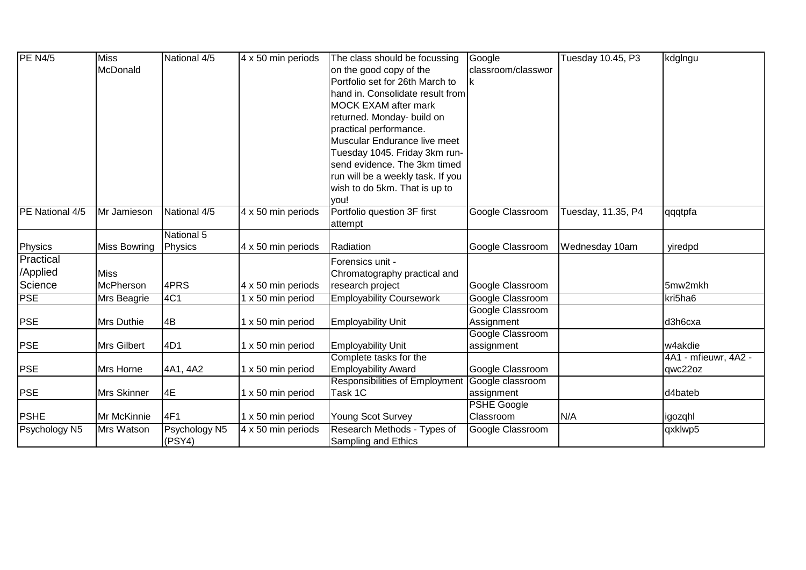| PE N4/5         | <b>Miss</b>        | National 4/5  | 4 x 50 min periods | The class should be focussing     | Google             | Tuesday 10.45, P3  | kdglngu              |
|-----------------|--------------------|---------------|--------------------|-----------------------------------|--------------------|--------------------|----------------------|
|                 | McDonald           |               |                    | on the good copy of the           | classroom/classwor |                    |                      |
|                 |                    |               |                    | Portfolio set for 26th March to   |                    |                    |                      |
|                 |                    |               |                    | hand in. Consolidate result from  |                    |                    |                      |
|                 |                    |               |                    | <b>MOCK EXAM after mark</b>       |                    |                    |                      |
|                 |                    |               |                    | returned. Monday- build on        |                    |                    |                      |
|                 |                    |               |                    | practical performance.            |                    |                    |                      |
|                 |                    |               |                    | Muscular Endurance live meet      |                    |                    |                      |
|                 |                    |               |                    | Tuesday 1045. Friday 3km run-     |                    |                    |                      |
|                 |                    |               |                    | send evidence. The 3km timed      |                    |                    |                      |
|                 |                    |               |                    | run will be a weekly task. If you |                    |                    |                      |
|                 |                    |               |                    | wish to do 5km. That is up to     |                    |                    |                      |
|                 |                    |               |                    | you!                              |                    |                    |                      |
| PE National 4/5 | Mr Jamieson        | National 4/5  | 4 x 50 min periods | Portfolio question 3F first       | Google Classroom   | Tuesday, 11.35, P4 | qqqtpfa              |
|                 |                    |               |                    | attempt                           |                    |                    |                      |
|                 |                    | National 5    |                    |                                   |                    |                    |                      |
| Physics         | Miss Bowring       | Physics       | 4 x 50 min periods | Radiation                         | Google Classroom   | Wednesday 10am     | yiredpd              |
| Practical       |                    |               |                    | Forensics unit -                  |                    |                    |                      |
| /Applied        | <b>Miss</b>        |               |                    | Chromatography practical and      |                    |                    |                      |
| Science         | McPherson          | 4PRS          | 4 x 50 min periods | research project                  | Google Classroom   |                    | 5mw2mkh              |
| PSE             | Mrs Beagrie        | 4C1           | 1 x 50 min period  | <b>Employability Coursework</b>   | Google Classroom   |                    | kri5ha6              |
|                 |                    |               |                    |                                   | Google Classroom   |                    |                      |
| <b>PSE</b>      | <b>Mrs Duthie</b>  | 4B            | 1 x 50 min period  | <b>Employability Unit</b>         | Assignment         |                    | d3h6cxa              |
|                 |                    |               |                    |                                   | Google Classroom   |                    |                      |
| <b>PSE</b>      | <b>Mrs Gilbert</b> | 4D1           | 1 x 50 min period  | <b>Employability Unit</b>         | assignment         |                    | w4akdie              |
|                 |                    |               |                    | Complete tasks for the            |                    |                    | 4A1 - mfieuwr, 4A2 - |
| <b>PSE</b>      | Mrs Horne          | 4A1, 4A2      | 1 x 50 min period  | <b>Employability Award</b>        | Google Classroom   |                    | qwc22oz              |
|                 |                    |               |                    | Responsibilities of Employment    | Google classroom   |                    |                      |
| <b>PSE</b>      | Mrs Skinner        | 4E            | 1 x 50 min period  | Task 1C                           | assignment         |                    | d4bateb              |
|                 |                    |               |                    |                                   | <b>PSHE Google</b> |                    |                      |
| <b>PSHE</b>     | Mr McKinnie        | 4F1           | 1 x 50 min period  | <b>Young Scot Survey</b>          | Classroom          | N/A                | igozghl              |
| Psychology N5   | Mrs Watson         | Psychology N5 | 4 x 50 min periods | Research Methods - Types of       | Google Classroom   |                    | qxklwp5              |
|                 |                    | (PSY4)        |                    | Sampling and Ethics               |                    |                    |                      |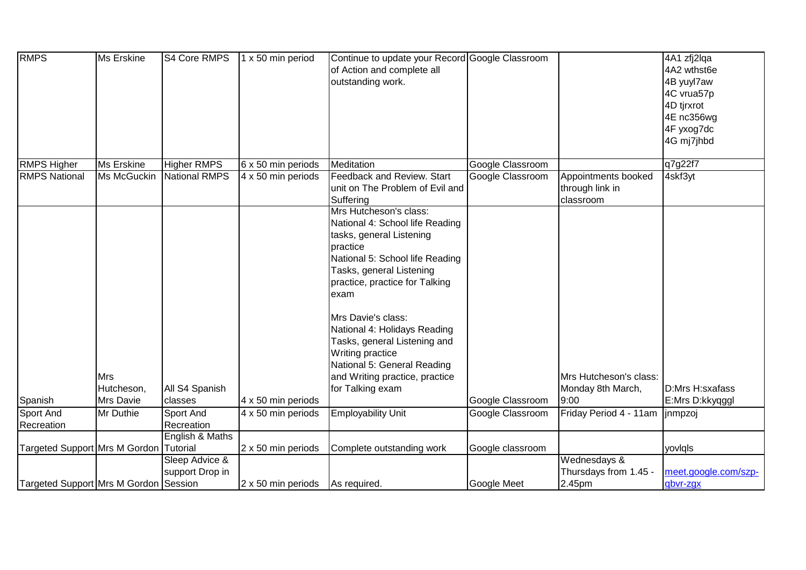| <b>RMPS</b>                                          | Ms Erskine                                   | S4 Core RMPS                                    | 1 x 50 min period         | Continue to update your Record Google Classroom<br>of Action and complete all<br>outstanding work.                                                                                                                                                                                                                                                                                                        |                  |                                                     | 4A1 zfj2lqa<br>4A2 wthst6e<br>4B yuyl7aw<br>4C vrua57p<br>4D tjrxrot<br>4E nc356wg<br>4F yxog7dc<br>4G mj7jhbd |
|------------------------------------------------------|----------------------------------------------|-------------------------------------------------|---------------------------|-----------------------------------------------------------------------------------------------------------------------------------------------------------------------------------------------------------------------------------------------------------------------------------------------------------------------------------------------------------------------------------------------------------|------------------|-----------------------------------------------------|----------------------------------------------------------------------------------------------------------------|
| <b>RMPS Higher</b>                                   | <b>Ms Erskine</b>                            | <b>Higher RMPS</b>                              | $6 \times 50$ min periods | Meditation                                                                                                                                                                                                                                                                                                                                                                                                | Google Classroom |                                                     | q7g22f7                                                                                                        |
| <b>RMPS National</b>                                 | Ms McGuckin                                  | National RMPS                                   | 4 x 50 min periods        | <b>Feedback and Review. Start</b><br>unit on The Problem of Evil and<br>Suffering                                                                                                                                                                                                                                                                                                                         | Google Classroom | Appointments booked<br>through link in<br>classroom | 4skf3yt                                                                                                        |
| Spanish                                              | <b>Mrs</b><br>Hutcheson,<br><b>Mrs Davie</b> | All S4 Spanish<br>classes                       | 4 x 50 min periods        | Mrs Hutcheson's class:<br>National 4: School life Reading<br>tasks, general Listening<br>practice<br>National 5: School life Reading<br>Tasks, general Listening<br>practice, practice for Talking<br>exam<br>Mrs Davie's class:<br>National 4: Holidays Reading<br>Tasks, general Listening and<br>Writing practice<br>National 5: General Reading<br>and Writing practice, practice<br>for Talking exam | Google Classroom | Mrs Hutcheson's class:<br>Monday 8th March,<br>9:00 | D:Mrs H:sxafass<br>E:Mrs D:kkyqggl                                                                             |
| Sport And                                            | Mr Duthie                                    | Sport And                                       | 4 x 50 min periods        | <b>Employability Unit</b>                                                                                                                                                                                                                                                                                                                                                                                 | Google Classroom | Friday Period 4 - 11am                              | <i>inmpzoj</i>                                                                                                 |
| Recreation<br>Targeted Support Mrs M Gordon Tutorial |                                              | Recreation<br>English & Maths<br>Sleep Advice & | 2 x 50 min periods        | Complete outstanding work                                                                                                                                                                                                                                                                                                                                                                                 | Google classroom | Wednesdays &                                        | yoviqls                                                                                                        |
| Targeted Support Mrs M Gordon Session                |                                              | support Drop in                                 | 2 x 50 min periods        | As required.                                                                                                                                                                                                                                                                                                                                                                                              | Google Meet      | Thursdays from 1.45 -<br>2.45pm                     | meet.google.com/szp-<br>qbvr-zgx                                                                               |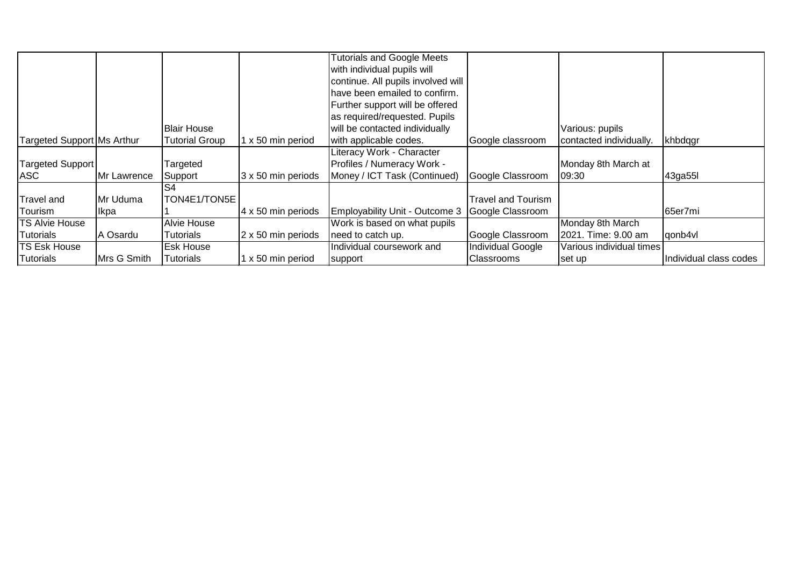|                            |             |                       |                           | <b>Tutorials and Google Meets</b>  |                           |                          |                        |
|----------------------------|-------------|-----------------------|---------------------------|------------------------------------|---------------------------|--------------------------|------------------------|
|                            |             |                       |                           | with individual pupils will        |                           |                          |                        |
|                            |             |                       |                           | continue. All pupils involved will |                           |                          |                        |
|                            |             |                       |                           | have been emailed to confirm.      |                           |                          |                        |
|                            |             |                       |                           | Further support will be offered    |                           |                          |                        |
|                            |             |                       |                           | as required/requested. Pupils      |                           |                          |                        |
|                            |             | <b>Blair House</b>    |                           | will be contacted individually     |                           | Various: pupils          |                        |
| Targeted Support Ms Arthur |             | <b>Tutorial Group</b> | 1 x 50 min period         | with applicable codes.             | Google classroom          | contacted individually.  | khbdqgr                |
|                            |             |                       |                           | Literacy Work - Character          |                           |                          |                        |
| Targeted Support           |             | Targeted              |                           | Profiles / Numeracy Work -         |                           | Monday 8th March at      |                        |
| <b>ASC</b>                 | Mr Lawrence | Support               | 3 x 50 min periods        | Money / ICT Task (Continued)       | Google Classroom          | 09:30                    | 43ga55l                |
|                            |             | S4                    |                           |                                    |                           |                          |                        |
| Travel and                 | Mr Uduma    | TON4E1/TON5E          |                           |                                    | <b>Travel and Tourism</b> |                          |                        |
| Tourism                    | Ikpa        |                       | $4 \times 50$ min periods | Employability Unit - Outcome 3     | Google Classroom          |                          | 65er7mi                |
| <b>TS Alvie House</b>      |             | <b>Alvie House</b>    |                           | Work is based on what pupils       |                           | Monday 8th March         |                        |
| Tutorials                  | A Osardu    | Tutorials             | 2 x 50 min periods        | need to catch up.                  | Google Classroom          | 2021. Time: 9.00 am      | qonb4vl                |
| <b>TS Esk House</b>        |             | <b>Esk House</b>      |                           | Individual coursework and          | Individual Google         | Various individual times |                        |
| Tutorials                  | Mrs G Smith | Tutorials             | x 50 min period           | support                            | <b>Classrooms</b>         | set up                   | Individual class codes |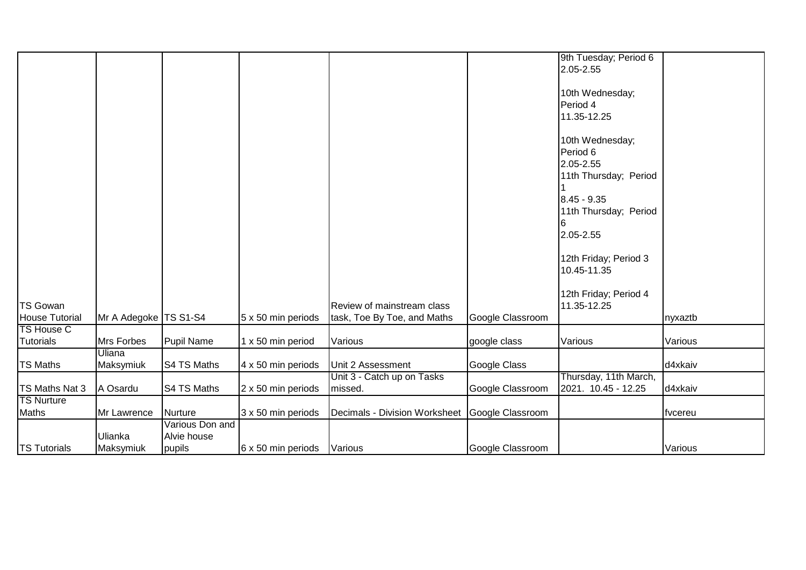|                       |                         |                 |                    |                               |                  | 9th Tuesday; Period 6 |         |
|-----------------------|-------------------------|-----------------|--------------------|-------------------------------|------------------|-----------------------|---------|
|                       |                         |                 |                    |                               |                  | 2.05-2.55             |         |
|                       |                         |                 |                    |                               |                  |                       |         |
|                       |                         |                 |                    |                               |                  | 10th Wednesday;       |         |
|                       |                         |                 |                    |                               |                  | Period 4              |         |
|                       |                         |                 |                    |                               |                  | 11.35-12.25           |         |
|                       |                         |                 |                    |                               |                  |                       |         |
|                       |                         |                 |                    |                               |                  | 10th Wednesday;       |         |
|                       |                         |                 |                    |                               |                  | Period 6              |         |
|                       |                         |                 |                    |                               |                  | 2.05-2.55             |         |
|                       |                         |                 |                    |                               |                  | 11th Thursday; Period |         |
|                       |                         |                 |                    |                               |                  |                       |         |
|                       |                         |                 |                    |                               |                  | 8.45 - 9.35           |         |
|                       |                         |                 |                    |                               |                  | 11th Thursday; Period |         |
|                       |                         |                 |                    |                               |                  | 6                     |         |
|                       |                         |                 |                    |                               |                  | 2.05-2.55             |         |
|                       |                         |                 |                    |                               |                  |                       |         |
|                       |                         |                 |                    |                               |                  | 12th Friday; Period 3 |         |
|                       |                         |                 |                    |                               |                  | 10.45-11.35           |         |
|                       |                         |                 |                    |                               |                  |                       |         |
|                       |                         |                 |                    |                               |                  | 12th Friday; Period 4 |         |
| <b>TS Gowan</b>       |                         |                 |                    | Review of mainstream class    |                  | 11.35-12.25           |         |
| <b>House Tutorial</b> | Mr A Adegoke   TS S1-S4 |                 | 5 x 50 min periods | task, Toe By Toe, and Maths   | Google Classroom |                       | nyxaztb |
| <b>TS House C</b>     |                         |                 |                    |                               |                  |                       |         |
| Tutorials             | Mrs Forbes              | Pupil Name      | 1 x 50 min period  | Various                       | google class     | Various               | Various |
|                       | Uliana                  |                 |                    |                               |                  |                       |         |
| <b>TS Maths</b>       | Maksymiuk               | S4 TS Maths     | 4 x 50 min periods | Unit 2 Assessment             | Google Class     |                       | d4xkaiv |
|                       |                         |                 |                    | Unit 3 - Catch up on Tasks    |                  | Thursday, 11th March, |         |
| TS Maths Nat 3        | A Osardu                | S4 TS Maths     | 2 x 50 min periods | missed.                       | Google Classroom | 2021. 10.45 - 12.25   | d4xkaiv |
| <b>TS Nurture</b>     |                         |                 |                    |                               |                  |                       |         |
| Maths                 | Mr Lawrence             | Nurture         | 3 x 50 min periods | Decimals - Division Worksheet | Google Classroom |                       | fvcereu |
|                       |                         | Various Don and |                    |                               |                  |                       |         |
|                       | Ulianka                 | Alvie house     |                    |                               |                  |                       |         |
| <b>TS Tutorials</b>   | Maksymiuk               | pupils          | 6 x 50 min periods | Various                       | Google Classroom |                       | Various |